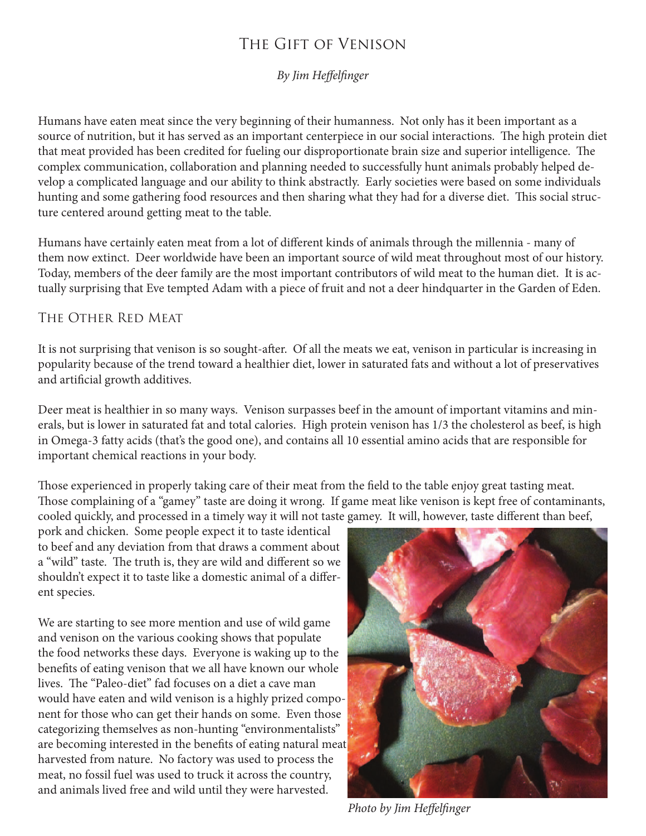# The Gift of Venison

*By Jim Heffelfinger*

Humans have eaten meat since the very beginning of their humanness. Not only has it been important as a source of nutrition, but it has served as an important centerpiece in our social interactions. The high protein diet that meat provided has been credited for fueling our disproportionate brain size and superior intelligence. The complex communication, collaboration and planning needed to successfully hunt animals probably helped develop a complicated language and our ability to think abstractly. Early societies were based on some individuals hunting and some gathering food resources and then sharing what they had for a diverse diet. This social structure centered around getting meat to the table.

Humans have certainly eaten meat from a lot of different kinds of animals through the millennia - many of them now extinct. Deer worldwide have been an important source of wild meat throughout most of our history. Today, members of the deer family are the most important contributors of wild meat to the human diet. It is actually surprising that Eve tempted Adam with a piece of fruit and not a deer hindquarter in the Garden of Eden.

### The Other Red Meat

It is not surprising that venison is so sought-after. Of all the meats we eat, venison in particular is increasing in popularity because of the trend toward a healthier diet, lower in saturated fats and without a lot of preservatives and artificial growth additives.

Deer meat is healthier in so many ways. Venison surpasses beef in the amount of important vitamins and minerals, but is lower in saturated fat and total calories. High protein venison has 1/3 the cholesterol as beef, is high in Omega-3 fatty acids (that's the good one), and contains all 10 essential amino acids that are responsible for important chemical reactions in your body.

Those experienced in properly taking care of their meat from the field to the table enjoy great tasting meat. Those complaining of a "gamey" taste are doing it wrong. If game meat like venison is kept free of contaminants, cooled quickly, and processed in a timely way it will not taste gamey. It will, however, taste different than beef,

pork and chicken. Some people expect it to taste identical to beef and any deviation from that draws a comment about a "wild" taste. The truth is, they are wild and different so we shouldn't expect it to taste like a domestic animal of a different species.

We are starting to see more mention and use of wild game and venison on the various cooking shows that populate the food networks these days. Everyone is waking up to the benefits of eating venison that we all have known our whole lives. The "Paleo-diet" fad focuses on a diet a cave man would have eaten and wild venison is a highly prized component for those who can get their hands on some. Even those categorizing themselves as non-hunting "environmentalists" are becoming interested in the benefits of eating natural meat harvested from nature. No factory was used to process the meat, no fossil fuel was used to truck it across the country, and animals lived free and wild until they were harvested.



*Photo by Jim Heffelfinger*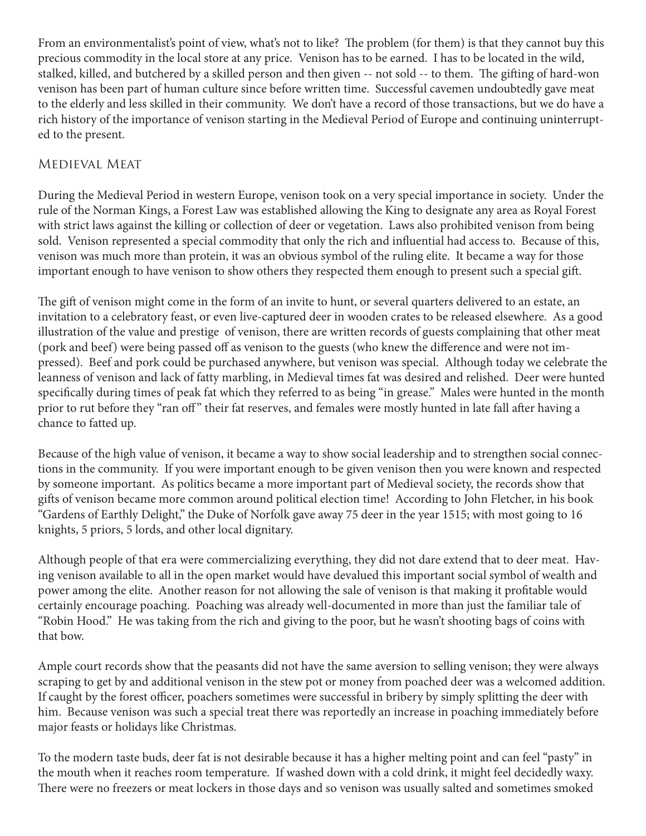From an environmentalist's point of view, what's not to like? The problem (for them) is that they cannot buy this precious commodity in the local store at any price. Venison has to be earned. I has to be located in the wild, stalked, killed, and butchered by a skilled person and then given -- not sold -- to them. The gifting of hard-won venison has been part of human culture since before written time. Successful cavemen undoubtedly gave meat to the elderly and less skilled in their community. We don't have a record of those transactions, but we do have a rich history of the importance of venison starting in the Medieval Period of Europe and continuing uninterrupted to the present.

### Medieval Meat

During the Medieval Period in western Europe, venison took on a very special importance in society. Under the rule of the Norman Kings, a Forest Law was established allowing the King to designate any area as Royal Forest with strict laws against the killing or collection of deer or vegetation. Laws also prohibited venison from being sold. Venison represented a special commodity that only the rich and influential had access to. Because of this, venison was much more than protein, it was an obvious symbol of the ruling elite. It became a way for those important enough to have venison to show others they respected them enough to present such a special gift.

The gift of venison might come in the form of an invite to hunt, or several quarters delivered to an estate, an invitation to a celebratory feast, or even live-captured deer in wooden crates to be released elsewhere. As a good illustration of the value and prestige of venison, there are written records of guests complaining that other meat (pork and beef) were being passed off as venison to the guests (who knew the difference and were not impressed). Beef and pork could be purchased anywhere, but venison was special. Although today we celebrate the leanness of venison and lack of fatty marbling, in Medieval times fat was desired and relished. Deer were hunted specifically during times of peak fat which they referred to as being "in grease." Males were hunted in the month prior to rut before they "ran off" their fat reserves, and females were mostly hunted in late fall after having a chance to fatted up.

Because of the high value of venison, it became a way to show social leadership and to strengthen social connections in the community. If you were important enough to be given venison then you were known and respected by someone important. As politics became a more important part of Medieval society, the records show that gifts of venison became more common around political election time! According to John Fletcher, in his book "Gardens of Earthly Delight," the Duke of Norfolk gave away 75 deer in the year 1515; with most going to 16 knights, 5 priors, 5 lords, and other local dignitary.

Although people of that era were commercializing everything, they did not dare extend that to deer meat. Having venison available to all in the open market would have devalued this important social symbol of wealth and power among the elite. Another reason for not allowing the sale of venison is that making it profitable would certainly encourage poaching. Poaching was already well-documented in more than just the familiar tale of "Robin Hood." He was taking from the rich and giving to the poor, but he wasn't shooting bags of coins with that bow.

Ample court records show that the peasants did not have the same aversion to selling venison; they were always scraping to get by and additional venison in the stew pot or money from poached deer was a welcomed addition. If caught by the forest officer, poachers sometimes were successful in bribery by simply splitting the deer with him. Because venison was such a special treat there was reportedly an increase in poaching immediately before major feasts or holidays like Christmas.

To the modern taste buds, deer fat is not desirable because it has a higher melting point and can feel "pasty" in the mouth when it reaches room temperature. If washed down with a cold drink, it might feel decidedly waxy. There were no freezers or meat lockers in those days and so venison was usually salted and sometimes smoked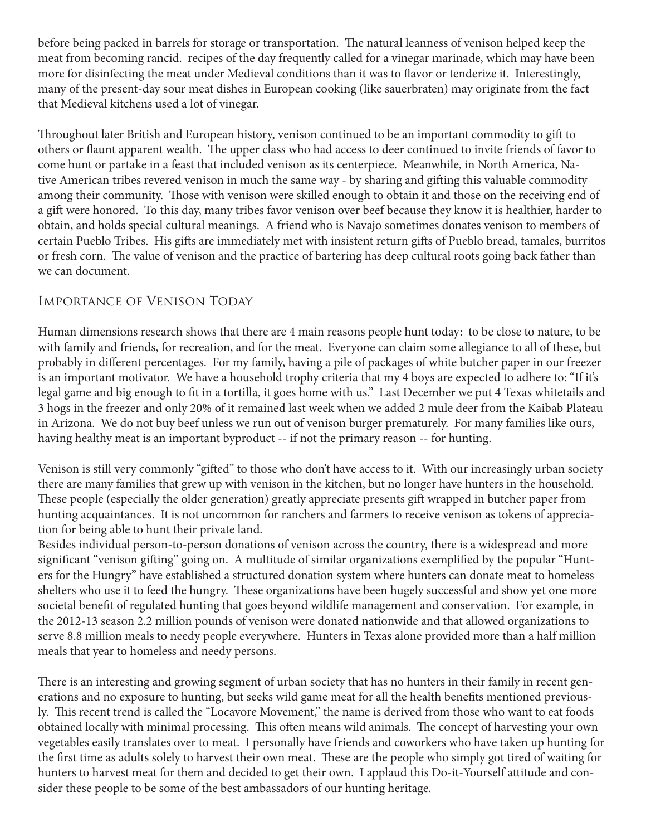before being packed in barrels for storage or transportation. The natural leanness of venison helped keep the meat from becoming rancid. recipes of the day frequently called for a vinegar marinade, which may have been more for disinfecting the meat under Medieval conditions than it was to flavor or tenderize it. Interestingly, many of the present-day sour meat dishes in European cooking (like sauerbraten) may originate from the fact that Medieval kitchens used a lot of vinegar.

Throughout later British and European history, venison continued to be an important commodity to gift to others or flaunt apparent wealth. The upper class who had access to deer continued to invite friends of favor to come hunt or partake in a feast that included venison as its centerpiece. Meanwhile, in North America, Native American tribes revered venison in much the same way - by sharing and gifting this valuable commodity among their community. Those with venison were skilled enough to obtain it and those on the receiving end of a gift were honored. To this day, many tribes favor venison over beef because they know it is healthier, harder to obtain, and holds special cultural meanings. A friend who is Navajo sometimes donates venison to members of certain Pueblo Tribes. His gifts are immediately met with insistent return gifts of Pueblo bread, tamales, burritos or fresh corn. The value of venison and the practice of bartering has deep cultural roots going back father than we can document.

### Importance of Venison Today

Human dimensions research shows that there are 4 main reasons people hunt today: to be close to nature, to be with family and friends, for recreation, and for the meat. Everyone can claim some allegiance to all of these, but probably in different percentages. For my family, having a pile of packages of white butcher paper in our freezer is an important motivator. We have a household trophy criteria that my 4 boys are expected to adhere to: "If it's legal game and big enough to fit in a tortilla, it goes home with us." Last December we put 4 Texas whitetails and 3 hogs in the freezer and only 20% of it remained last week when we added 2 mule deer from the Kaibab Plateau in Arizona. We do not buy beef unless we run out of venison burger prematurely. For many families like ours, having healthy meat is an important byproduct -- if not the primary reason -- for hunting.

Venison is still very commonly "gifted" to those who don't have access to it. With our increasingly urban society there are many families that grew up with venison in the kitchen, but no longer have hunters in the household. These people (especially the older generation) greatly appreciate presents gift wrapped in butcher paper from hunting acquaintances. It is not uncommon for ranchers and farmers to receive venison as tokens of appreciation for being able to hunt their private land.

Besides individual person-to-person donations of venison across the country, there is a widespread and more significant "venison gifting" going on. A multitude of similar organizations exemplified by the popular "Hunters for the Hungry" have established a structured donation system where hunters can donate meat to homeless shelters who use it to feed the hungry. These organizations have been hugely successful and show yet one more societal benefit of regulated hunting that goes beyond wildlife management and conservation. For example, in the 2012-13 season 2.2 million pounds of venison were donated nationwide and that allowed organizations to serve 8.8 million meals to needy people everywhere. Hunters in Texas alone provided more than a half million meals that year to homeless and needy persons.

There is an interesting and growing segment of urban society that has no hunters in their family in recent generations and no exposure to hunting, but seeks wild game meat for all the health benefits mentioned previously. This recent trend is called the "Locavore Movement," the name is derived from those who want to eat foods obtained locally with minimal processing. This often means wild animals. The concept of harvesting your own vegetables easily translates over to meat. I personally have friends and coworkers who have taken up hunting for the first time as adults solely to harvest their own meat. These are the people who simply got tired of waiting for hunters to harvest meat for them and decided to get their own. I applaud this Do-it-Yourself attitude and consider these people to be some of the best ambassadors of our hunting heritage.